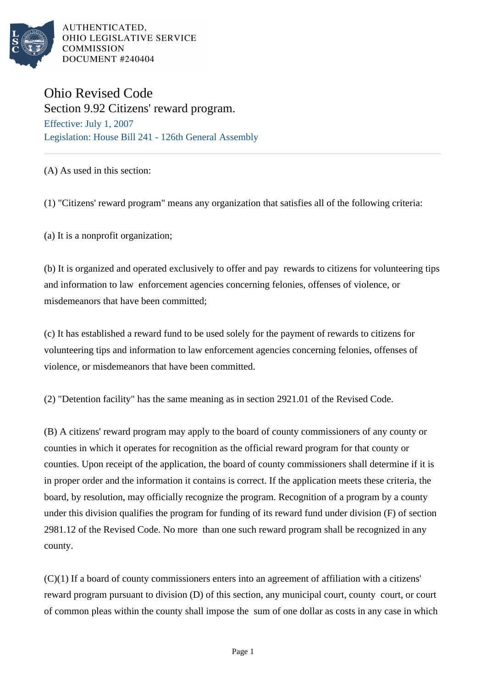

AUTHENTICATED, OHIO LEGISLATIVE SERVICE **COMMISSION** DOCUMENT #240404

## Ohio Revised Code

Section 9.92 Citizens' reward program. Effective: July 1, 2007 Legislation: House Bill 241 - 126th General Assembly

## (A) As used in this section:

(1) "Citizens' reward program" means any organization that satisfies all of the following criteria:

(a) It is a nonprofit organization;

(b) It is organized and operated exclusively to offer and pay rewards to citizens for volunteering tips and information to law enforcement agencies concerning felonies, offenses of violence, or misdemeanors that have been committed;

(c) It has established a reward fund to be used solely for the payment of rewards to citizens for volunteering tips and information to law enforcement agencies concerning felonies, offenses of violence, or misdemeanors that have been committed.

(2) "Detention facility" has the same meaning as in section 2921.01 of the Revised Code.

(B) A citizens' reward program may apply to the board of county commissioners of any county or counties in which it operates for recognition as the official reward program for that county or counties. Upon receipt of the application, the board of county commissioners shall determine if it is in proper order and the information it contains is correct. If the application meets these criteria, the board, by resolution, may officially recognize the program. Recognition of a program by a county under this division qualifies the program for funding of its reward fund under division (F) of section 2981.12 of the Revised Code. No more than one such reward program shall be recognized in any county.

(C)(1) If a board of county commissioners enters into an agreement of affiliation with a citizens' reward program pursuant to division (D) of this section, any municipal court, county court, or court of common pleas within the county shall impose the sum of one dollar as costs in any case in which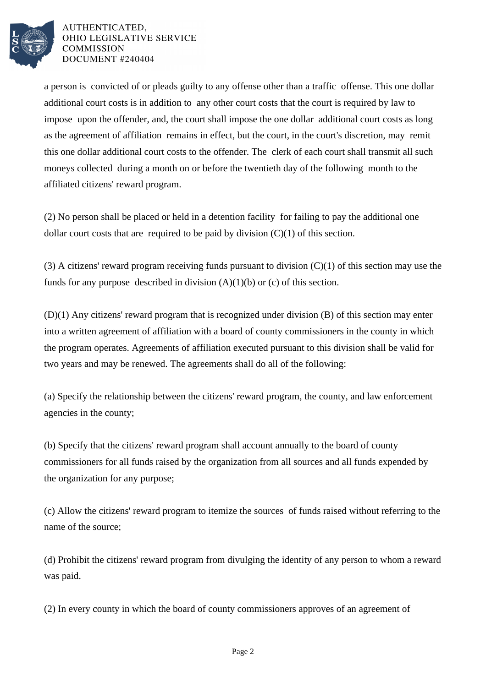

AUTHENTICATED. OHIO LEGISLATIVE SERVICE **COMMISSION** DOCUMENT #240404

a person is convicted of or pleads guilty to any offense other than a traffic offense. This one dollar additional court costs is in addition to any other court costs that the court is required by law to impose upon the offender, and, the court shall impose the one dollar additional court costs as long as the agreement of affiliation remains in effect, but the court, in the court's discretion, may remit this one dollar additional court costs to the offender. The clerk of each court shall transmit all such moneys collected during a month on or before the twentieth day of the following month to the affiliated citizens' reward program.

(2) No person shall be placed or held in a detention facility for failing to pay the additional one dollar court costs that are required to be paid by division  $(C)(1)$  of this section.

(3) A citizens' reward program receiving funds pursuant to division (C)(1) of this section may use the funds for any purpose described in division  $(A)(1)(b)$  or (c) of this section.

(D)(1) Any citizens' reward program that is recognized under division (B) of this section may enter into a written agreement of affiliation with a board of county commissioners in the county in which the program operates. Agreements of affiliation executed pursuant to this division shall be valid for two years and may be renewed. The agreements shall do all of the following:

(a) Specify the relationship between the citizens' reward program, the county, and law enforcement agencies in the county;

(b) Specify that the citizens' reward program shall account annually to the board of county commissioners for all funds raised by the organization from all sources and all funds expended by the organization for any purpose;

(c) Allow the citizens' reward program to itemize the sources of funds raised without referring to the name of the source;

(d) Prohibit the citizens' reward program from divulging the identity of any person to whom a reward was paid.

(2) In every county in which the board of county commissioners approves of an agreement of